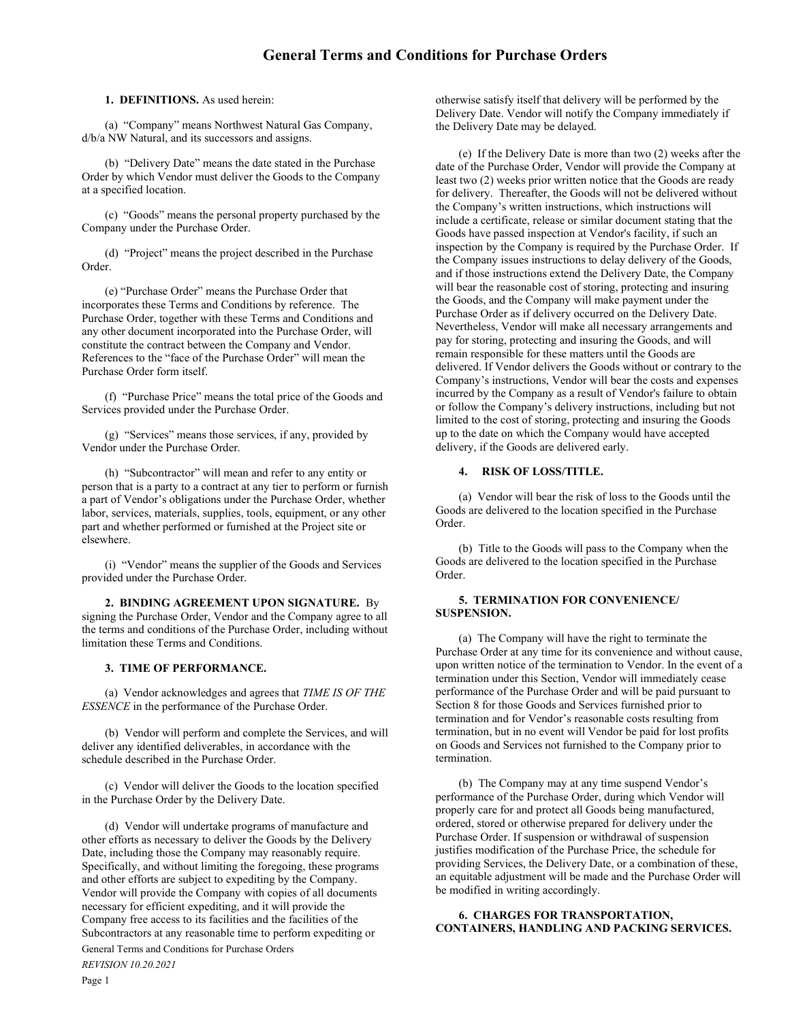1. DEFINITIONS. As used herein:

(a) "Company" means Northwest Natural Gas Company, d/b/a NW Natural, and its successors and assigns.

(b) "Delivery Date" means the date stated in the Purchase Order by which Vendor must deliver the Goods to the Company at a specified location.

(c) "Goods" means the personal property purchased by the Company under the Purchase Order.

(d) "Project" means the project described in the Purchase Order.

(e) "Purchase Order" means the Purchase Order that incorporates these Terms and Conditions by reference. The Purchase Order, together with these Terms and Conditions and any other document incorporated into the Purchase Order, will constitute the contract between the Company and Vendor. References to the "face of the Purchase Order" will mean the Purchase Order form itself.

(f) "Purchase Price" means the total price of the Goods and Services provided under the Purchase Order.

(g) "Services" means those services, if any, provided by Vendor under the Purchase Order.

(h) "Subcontractor" will mean and refer to any entity or person that is a party to a contract at any tier to perform or furnish a part of Vendor's obligations under the Purchase Order, whether labor, services, materials, supplies, tools, equipment, or any other part and whether performed or furnished at the Project site or elsewhere.

(i) "Vendor" means the supplier of the Goods and Services provided under the Purchase Order.

2. BINDING AGREEMENT UPON SIGNATURE. By signing the Purchase Order, Vendor and the Company agree to all the terms and conditions of the Purchase Order, including without limitation these Terms and Conditions.

### 3. TIME OF PERFORMANCE.

(a) Vendor acknowledges and agrees that TIME IS OF THE ESSENCE in the performance of the Purchase Order.

(b) Vendor will perform and complete the Services, and will deliver any identified deliverables, in accordance with the schedule described in the Purchase Order.

(c) Vendor will deliver the Goods to the location specified in the Purchase Order by the Delivery Date.

(d) Vendor will undertake programs of manufacture and other efforts as necessary to deliver the Goods by the Delivery Date, including those the Company may reasonably require. Specifically, and without limiting the foregoing, these programs and other efforts are subject to expediting by the Company. Vendor will provide the Company with copies of all documents necessary for efficient expediting, and it will provide the Company free access to its facilities and the facilities of the Subcontractors at any reasonable time to perform expediting or

General Terms and Conditions for Purchase Orders REVISION 10.20.2021 Page 1

otherwise satisfy itself that delivery will be performed by the Delivery Date. Vendor will notify the Company immediately if the Delivery Date may be delayed.

(e) If the Delivery Date is more than two (2) weeks after the date of the Purchase Order, Vendor will provide the Company at least two (2) weeks prior written notice that the Goods are ready for delivery. Thereafter, the Goods will not be delivered without the Company's written instructions, which instructions will include a certificate, release or similar document stating that the Goods have passed inspection at Vendor's facility, if such an inspection by the Company is required by the Purchase Order. If the Company issues instructions to delay delivery of the Goods, and if those instructions extend the Delivery Date, the Company will bear the reasonable cost of storing, protecting and insuring the Goods, and the Company will make payment under the Purchase Order as if delivery occurred on the Delivery Date. Nevertheless, Vendor will make all necessary arrangements and pay for storing, protecting and insuring the Goods, and will remain responsible for these matters until the Goods are delivered. If Vendor delivers the Goods without or contrary to the Company's instructions, Vendor will bear the costs and expenses incurred by the Company as a result of Vendor's failure to obtain or follow the Company's delivery instructions, including but not limited to the cost of storing, protecting and insuring the Goods up to the date on which the Company would have accepted delivery, if the Goods are delivered early.

#### 4. RISK OF LOSS/TITLE.

(a) Vendor will bear the risk of loss to the Goods until the Goods are delivered to the location specified in the Purchase Order.

(b) Title to the Goods will pass to the Company when the Goods are delivered to the location specified in the Purchase Order.

#### 5. TERMINATION FOR CONVENIENCE/ SUSPENSION.

(a) The Company will have the right to terminate the Purchase Order at any time for its convenience and without cause, upon written notice of the termination to Vendor. In the event of a termination under this Section, Vendor will immediately cease performance of the Purchase Order and will be paid pursuant to Section 8 for those Goods and Services furnished prior to termination and for Vendor's reasonable costs resulting from termination, but in no event will Vendor be paid for lost profits on Goods and Services not furnished to the Company prior to termination.

(b) The Company may at any time suspend Vendor's performance of the Purchase Order, during which Vendor will properly care for and protect all Goods being manufactured, ordered, stored or otherwise prepared for delivery under the Purchase Order. If suspension or withdrawal of suspension justifies modification of the Purchase Price, the schedule for providing Services, the Delivery Date, or a combination of these, an equitable adjustment will be made and the Purchase Order will be modified in writing accordingly.

# 6. CHARGES FOR TRANSPORTATION, CONTAINERS, HANDLING AND PACKING SERVICES.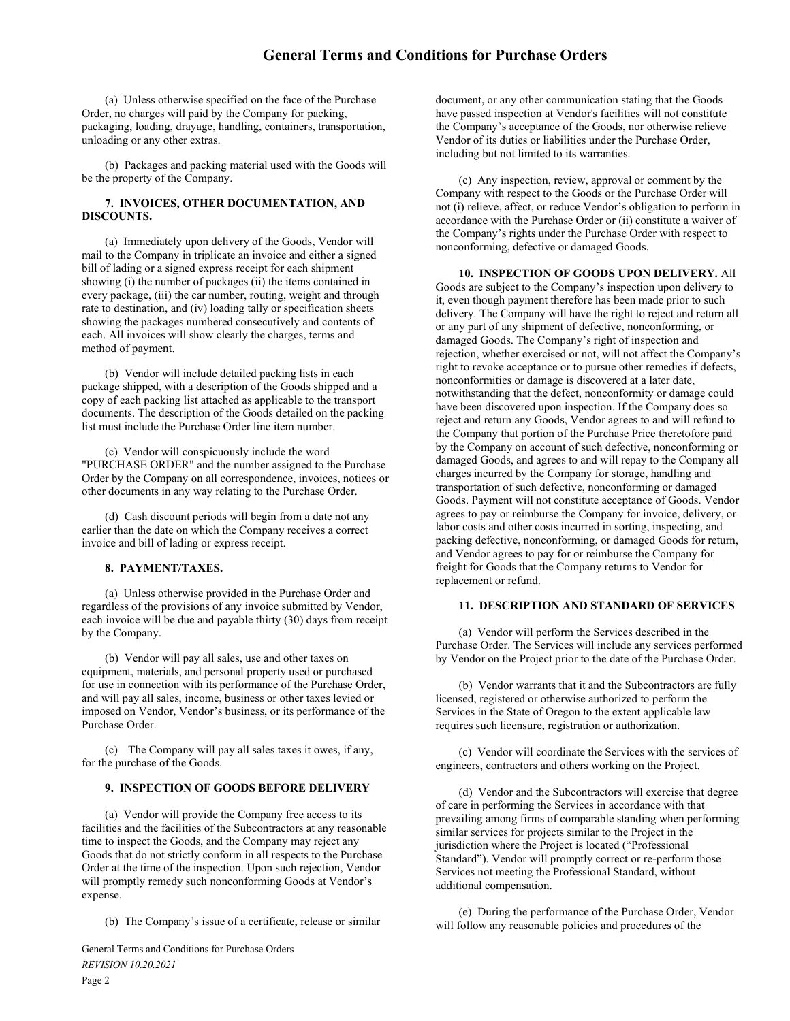(a) Unless otherwise specified on the face of the Purchase Order, no charges will paid by the Company for packing, packaging, loading, drayage, handling, containers, transportation, unloading or any other extras.

(b) Packages and packing material used with the Goods will be the property of the Company.

# 7. INVOICES, OTHER DOCUMENTATION, AND DISCOUNTS.

(a) Immediately upon delivery of the Goods, Vendor will mail to the Company in triplicate an invoice and either a signed bill of lading or a signed express receipt for each shipment showing (i) the number of packages (ii) the items contained in every package, (iii) the car number, routing, weight and through rate to destination, and (iv) loading tally or specification sheets showing the packages numbered consecutively and contents of each. All invoices will show clearly the charges, terms and method of payment.

(b) Vendor will include detailed packing lists in each package shipped, with a description of the Goods shipped and a copy of each packing list attached as applicable to the transport documents. The description of the Goods detailed on the packing list must include the Purchase Order line item number.

(c) Vendor will conspicuously include the word "PURCHASE ORDER" and the number assigned to the Purchase Order by the Company on all correspondence, invoices, notices or other documents in any way relating to the Purchase Order.

(d) Cash discount periods will begin from a date not any earlier than the date on which the Company receives a correct invoice and bill of lading or express receipt.

## 8. PAYMENT/TAXES.

(a) Unless otherwise provided in the Purchase Order and regardless of the provisions of any invoice submitted by Vendor, each invoice will be due and payable thirty (30) days from receipt by the Company.

(b) Vendor will pay all sales, use and other taxes on equipment, materials, and personal property used or purchased for use in connection with its performance of the Purchase Order, and will pay all sales, income, business or other taxes levied or imposed on Vendor, Vendor's business, or its performance of the Purchase Order.

(c) The Company will pay all sales taxes it owes, if any, for the purchase of the Goods.

# 9. INSPECTION OF GOODS BEFORE DELIVERY

(a) Vendor will provide the Company free access to its facilities and the facilities of the Subcontractors at any reasonable time to inspect the Goods, and the Company may reject any Goods that do not strictly conform in all respects to the Purchase Order at the time of the inspection. Upon such rejection, Vendor will promptly remedy such nonconforming Goods at Vendor's expense.

(b) The Company's issue of a certificate, release or similar

General Terms and Conditions for Purchase Orders REVISION 10.20.2021 Page 2

document, or any other communication stating that the Goods have passed inspection at Vendor's facilities will not constitute the Company's acceptance of the Goods, nor otherwise relieve Vendor of its duties or liabilities under the Purchase Order, including but not limited to its warranties.

(c) Any inspection, review, approval or comment by the Company with respect to the Goods or the Purchase Order will not (i) relieve, affect, or reduce Vendor's obligation to perform in accordance with the Purchase Order or (ii) constitute a waiver of the Company's rights under the Purchase Order with respect to nonconforming, defective or damaged Goods.

10. INSPECTION OF GOODS UPON DELIVERY. All Goods are subject to the Company's inspection upon delivery to it, even though payment therefore has been made prior to such delivery. The Company will have the right to reject and return all or any part of any shipment of defective, nonconforming, or damaged Goods. The Company's right of inspection and rejection, whether exercised or not, will not affect the Company's right to revoke acceptance or to pursue other remedies if defects, nonconformities or damage is discovered at a later date, notwithstanding that the defect, nonconformity or damage could have been discovered upon inspection. If the Company does so reject and return any Goods, Vendor agrees to and will refund to the Company that portion of the Purchase Price theretofore paid by the Company on account of such defective, nonconforming or damaged Goods, and agrees to and will repay to the Company all charges incurred by the Company for storage, handling and transportation of such defective, nonconforming or damaged Goods. Payment will not constitute acceptance of Goods. Vendor agrees to pay or reimburse the Company for invoice, delivery, or labor costs and other costs incurred in sorting, inspecting, and packing defective, nonconforming, or damaged Goods for return, and Vendor agrees to pay for or reimburse the Company for freight for Goods that the Company returns to Vendor for replacement or refund.

#### 11. DESCRIPTION AND STANDARD OF SERVICES

 (a) Vendor will perform the Services described in the Purchase Order. The Services will include any services performed by Vendor on the Project prior to the date of the Purchase Order.

 (b) Vendor warrants that it and the Subcontractors are fully licensed, registered or otherwise authorized to perform the Services in the State of Oregon to the extent applicable law requires such licensure, registration or authorization.

 (c) Vendor will coordinate the Services with the services of engineers, contractors and others working on the Project.

 (d) Vendor and the Subcontractors will exercise that degree of care in performing the Services in accordance with that prevailing among firms of comparable standing when performing similar services for projects similar to the Project in the jurisdiction where the Project is located ("Professional Standard"). Vendor will promptly correct or re-perform those Services not meeting the Professional Standard, without additional compensation.

 (e) During the performance of the Purchase Order, Vendor will follow any reasonable policies and procedures of the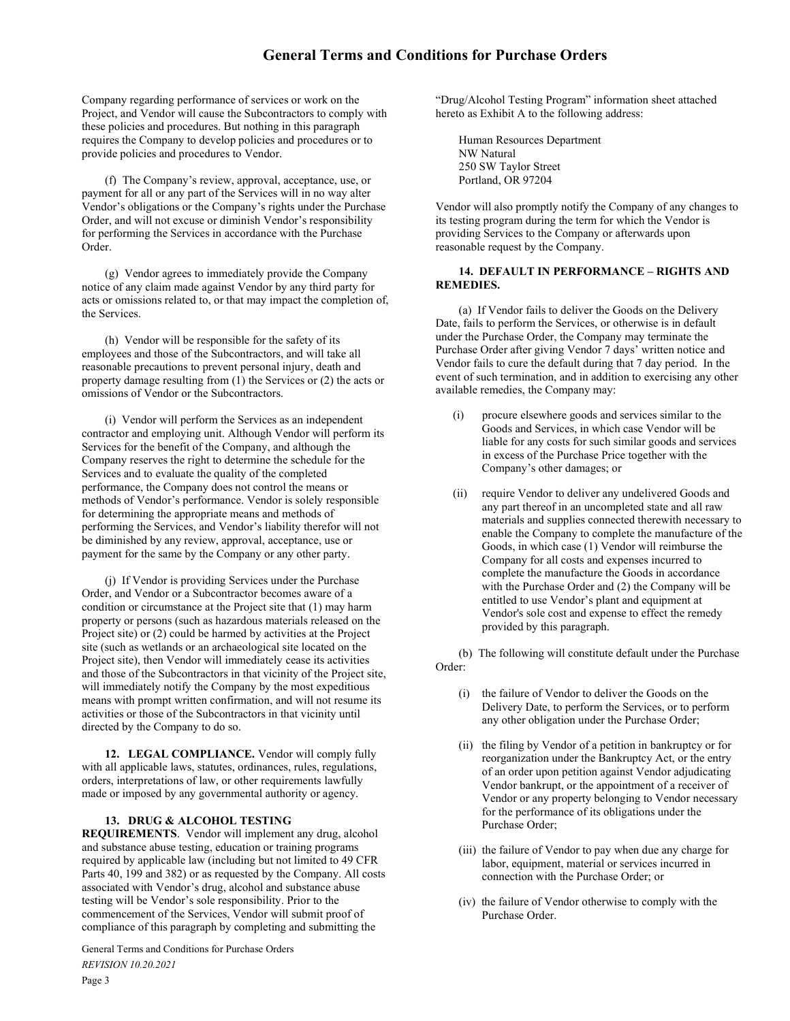# General Terms and Conditions for Purchase Orders

Company regarding performance of services or work on the Project, and Vendor will cause the Subcontractors to comply with these policies and procedures. But nothing in this paragraph requires the Company to develop policies and procedures or to provide policies and procedures to Vendor.

 (f) The Company's review, approval, acceptance, use, or payment for all or any part of the Services will in no way alter Vendor's obligations or the Company's rights under the Purchase Order, and will not excuse or diminish Vendor's responsibility for performing the Services in accordance with the Purchase Order.

(g) Vendor agrees to immediately provide the Company notice of any claim made against Vendor by any third party for acts or omissions related to, or that may impact the completion of, the Services.

 (h) Vendor will be responsible for the safety of its employees and those of the Subcontractors, and will take all reasonable precautions to prevent personal injury, death and property damage resulting from (1) the Services or (2) the acts or omissions of Vendor or the Subcontractors.

 (i) Vendor will perform the Services as an independent contractor and employing unit. Although Vendor will perform its Services for the benefit of the Company, and although the Company reserves the right to determine the schedule for the Services and to evaluate the quality of the completed performance, the Company does not control the means or methods of Vendor's performance. Vendor is solely responsible for determining the appropriate means and methods of performing the Services, and Vendor's liability therefor will not be diminished by any review, approval, acceptance, use or payment for the same by the Company or any other party.

 (j) If Vendor is providing Services under the Purchase Order, and Vendor or a Subcontractor becomes aware of a condition or circumstance at the Project site that (1) may harm property or persons (such as hazardous materials released on the Project site) or (2) could be harmed by activities at the Project site (such as wetlands or an archaeological site located on the Project site), then Vendor will immediately cease its activities and those of the Subcontractors in that vicinity of the Project site, will immediately notify the Company by the most expeditious means with prompt written confirmation, and will not resume its activities or those of the Subcontractors in that vicinity until directed by the Company to do so.

 12. LEGAL COMPLIANCE. Vendor will comply fully with all applicable laws, statutes, ordinances, rules, regulations, orders, interpretations of law, or other requirements lawfully made or imposed by any governmental authority or agency.

#### 13. DRUG & ALCOHOL TESTING

REQUIREMENTS. Vendor will implement any drug, alcohol and substance abuse testing, education or training programs required by applicable law (including but not limited to 49 CFR Parts 40, 199 and 382) or as requested by the Company. All costs associated with Vendor's drug, alcohol and substance abuse testing will be Vendor's sole responsibility. Prior to the commencement of the Services, Vendor will submit proof of compliance of this paragraph by completing and submitting the

General Terms and Conditions for Purchase Orders REVISION 10.20.2021 Page 3

"Drug/Alcohol Testing Program" information sheet attached hereto as Exhibit A to the following address:

Human Resources Department NW Natural 250 SW Taylor Street Portland, OR 97204

Vendor will also promptly notify the Company of any changes to its testing program during the term for which the Vendor is providing Services to the Company or afterwards upon reasonable request by the Company.

## 14. DEFAULT IN PERFORMANCE – RIGHTS AND REMEDIES.

(a) If Vendor fails to deliver the Goods on the Delivery Date, fails to perform the Services, or otherwise is in default under the Purchase Order, the Company may terminate the Purchase Order after giving Vendor 7 days' written notice and Vendor fails to cure the default during that 7 day period. In the event of such termination, and in addition to exercising any other available remedies, the Company may:

- (i) procure elsewhere goods and services similar to the Goods and Services, in which case Vendor will be liable for any costs for such similar goods and services in excess of the Purchase Price together with the Company's other damages; or
- (ii) require Vendor to deliver any undelivered Goods and any part thereof in an uncompleted state and all raw materials and supplies connected therewith necessary to enable the Company to complete the manufacture of the Goods, in which case (1) Vendor will reimburse the Company for all costs and expenses incurred to complete the manufacture the Goods in accordance with the Purchase Order and (2) the Company will be entitled to use Vendor's plant and equipment at Vendor's sole cost and expense to effect the remedy provided by this paragraph.

(b) The following will constitute default under the Purchase Order:

- (i) the failure of Vendor to deliver the Goods on the Delivery Date, to perform the Services, or to perform any other obligation under the Purchase Order;
- (ii) the filing by Vendor of a petition in bankruptcy or for reorganization under the Bankruptcy Act, or the entry of an order upon petition against Vendor adjudicating Vendor bankrupt, or the appointment of a receiver of Vendor or any property belonging to Vendor necessary for the performance of its obligations under the Purchase Order;
- (iii) the failure of Vendor to pay when due any charge for labor, equipment, material or services incurred in connection with the Purchase Order; or
- (iv) the failure of Vendor otherwise to comply with the Purchase Order.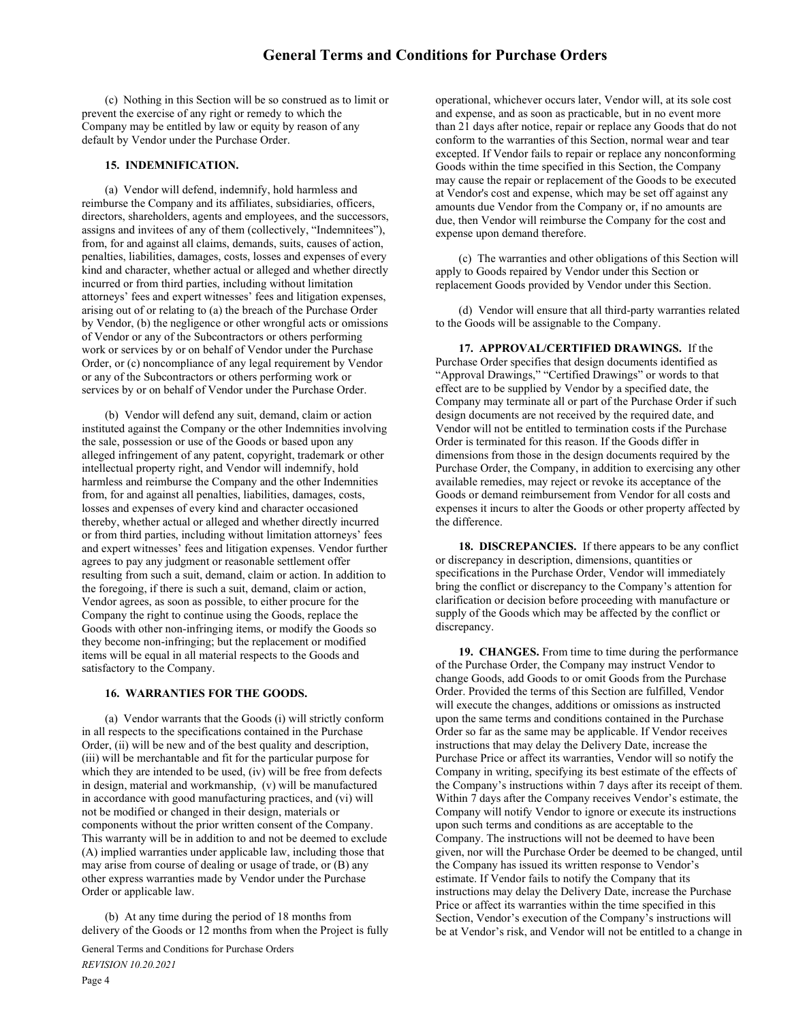(c) Nothing in this Section will be so construed as to limit or prevent the exercise of any right or remedy to which the Company may be entitled by law or equity by reason of any default by Vendor under the Purchase Order.

# 15. INDEMNIFICATION.

(a) Vendor will defend, indemnify, hold harmless and reimburse the Company and its affiliates, subsidiaries, officers, directors, shareholders, agents and employees, and the successors, assigns and invitees of any of them (collectively, "Indemnitees"), from, for and against all claims, demands, suits, causes of action, penalties, liabilities, damages, costs, losses and expenses of every kind and character, whether actual or alleged and whether directly incurred or from third parties, including without limitation attorneys' fees and expert witnesses' fees and litigation expenses, arising out of or relating to (a) the breach of the Purchase Order by Vendor, (b) the negligence or other wrongful acts or omissions of Vendor or any of the Subcontractors or others performing work or services by or on behalf of Vendor under the Purchase Order, or (c) noncompliance of any legal requirement by Vendor or any of the Subcontractors or others performing work or services by or on behalf of Vendor under the Purchase Order.

(b) Vendor will defend any suit, demand, claim or action instituted against the Company or the other Indemnities involving the sale, possession or use of the Goods or based upon any alleged infringement of any patent, copyright, trademark or other intellectual property right, and Vendor will indemnify, hold harmless and reimburse the Company and the other Indemnities from, for and against all penalties, liabilities, damages, costs, losses and expenses of every kind and character occasioned thereby, whether actual or alleged and whether directly incurred or from third parties, including without limitation attorneys' fees and expert witnesses' fees and litigation expenses. Vendor further agrees to pay any judgment or reasonable settlement offer resulting from such a suit, demand, claim or action. In addition to the foregoing, if there is such a suit, demand, claim or action, Vendor agrees, as soon as possible, to either procure for the Company the right to continue using the Goods, replace the Goods with other non-infringing items, or modify the Goods so they become non-infringing; but the replacement or modified items will be equal in all material respects to the Goods and satisfactory to the Company.

## 16. WARRANTIES FOR THE GOODS.

(a) Vendor warrants that the Goods (i) will strictly conform in all respects to the specifications contained in the Purchase Order, (ii) will be new and of the best quality and description, (iii) will be merchantable and fit for the particular purpose for which they are intended to be used, (iv) will be free from defects in design, material and workmanship, (v) will be manufactured in accordance with good manufacturing practices, and (vi) will not be modified or changed in their design, materials or components without the prior written consent of the Company. This warranty will be in addition to and not be deemed to exclude (A) implied warranties under applicable law, including those that may arise from course of dealing or usage of trade, or (B) any other express warranties made by Vendor under the Purchase Order or applicable law.

(b) At any time during the period of 18 months from delivery of the Goods or 12 months from when the Project is fully

General Terms and Conditions for Purchase Orders REVISION 10.20.2021

operational, whichever occurs later, Vendor will, at its sole cost and expense, and as soon as practicable, but in no event more than 21 days after notice, repair or replace any Goods that do not conform to the warranties of this Section, normal wear and tear excepted. If Vendor fails to repair or replace any nonconforming Goods within the time specified in this Section, the Company may cause the repair or replacement of the Goods to be executed at Vendor's cost and expense, which may be set off against any amounts due Vendor from the Company or, if no amounts are due, then Vendor will reimburse the Company for the cost and expense upon demand therefore.

(c) The warranties and other obligations of this Section will apply to Goods repaired by Vendor under this Section or replacement Goods provided by Vendor under this Section.

(d) Vendor will ensure that all third-party warranties related to the Goods will be assignable to the Company.

17. APPROVAL/CERTIFIED DRAWINGS. If the Purchase Order specifies that design documents identified as "Approval Drawings," "Certified Drawings" or words to that effect are to be supplied by Vendor by a specified date, the Company may terminate all or part of the Purchase Order if such design documents are not received by the required date, and Vendor will not be entitled to termination costs if the Purchase Order is terminated for this reason. If the Goods differ in dimensions from those in the design documents required by the Purchase Order, the Company, in addition to exercising any other available remedies, may reject or revoke its acceptance of the Goods or demand reimbursement from Vendor for all costs and expenses it incurs to alter the Goods or other property affected by the difference.

18. DISCREPANCIES. If there appears to be any conflict or discrepancy in description, dimensions, quantities or specifications in the Purchase Order, Vendor will immediately bring the conflict or discrepancy to the Company's attention for clarification or decision before proceeding with manufacture or supply of the Goods which may be affected by the conflict or discrepancy.

19. CHANGES. From time to time during the performance of the Purchase Order, the Company may instruct Vendor to change Goods, add Goods to or omit Goods from the Purchase Order. Provided the terms of this Section are fulfilled, Vendor will execute the changes, additions or omissions as instructed upon the same terms and conditions contained in the Purchase Order so far as the same may be applicable. If Vendor receives instructions that may delay the Delivery Date, increase the Purchase Price or affect its warranties, Vendor will so notify the Company in writing, specifying its best estimate of the effects of the Company's instructions within 7 days after its receipt of them. Within 7 days after the Company receives Vendor's estimate, the Company will notify Vendor to ignore or execute its instructions upon such terms and conditions as are acceptable to the Company. The instructions will not be deemed to have been given, nor will the Purchase Order be deemed to be changed, until the Company has issued its written response to Vendor's estimate. If Vendor fails to notify the Company that its instructions may delay the Delivery Date, increase the Purchase Price or affect its warranties within the time specified in this Section, Vendor's execution of the Company's instructions will be at Vendor's risk, and Vendor will not be entitled to a change in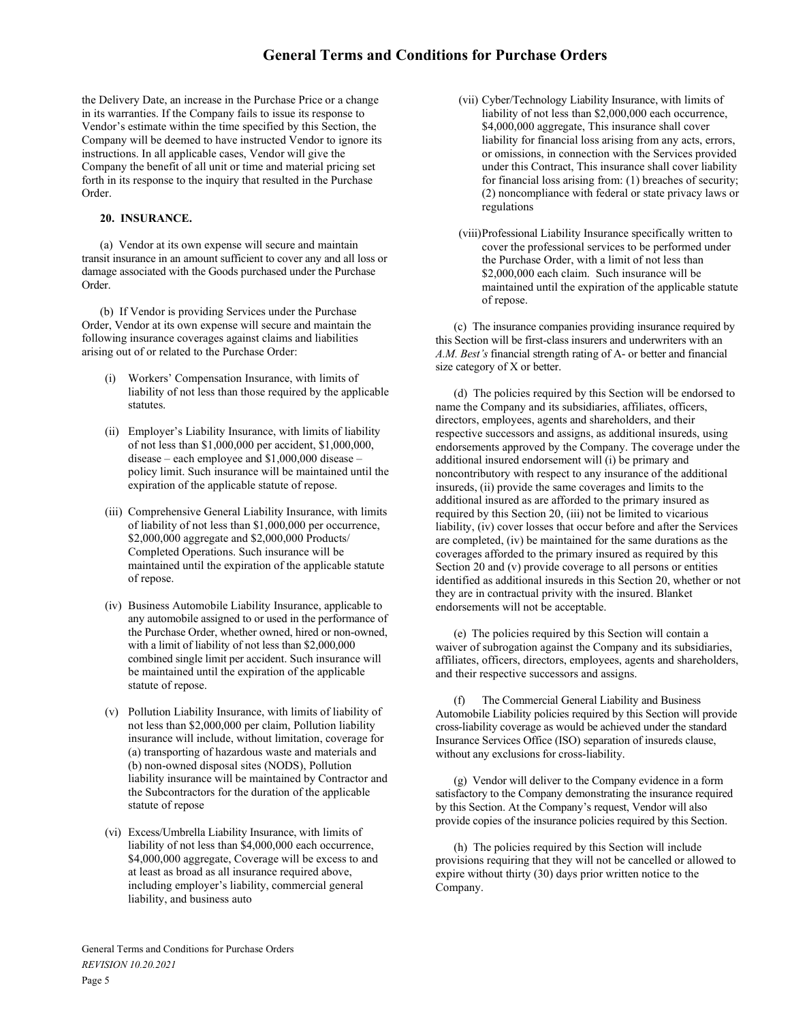the Delivery Date, an increase in the Purchase Price or a change in its warranties. If the Company fails to issue its response to Vendor's estimate within the time specified by this Section, the Company will be deemed to have instructed Vendor to ignore its instructions. In all applicable cases, Vendor will give the Company the benefit of all unit or time and material pricing set forth in its response to the inquiry that resulted in the Purchase Order.

# 20. INSURANCE.

 (a) Vendor at its own expense will secure and maintain transit insurance in an amount sufficient to cover any and all loss or damage associated with the Goods purchased under the Purchase Order.

 (b) If Vendor is providing Services under the Purchase Order, Vendor at its own expense will secure and maintain the following insurance coverages against claims and liabilities arising out of or related to the Purchase Order:

- (i) Workers' Compensation Insurance, with limits of liability of not less than those required by the applicable statutes.
- (ii) Employer's Liability Insurance, with limits of liability of not less than \$1,000,000 per accident, \$1,000,000, disease – each employee and \$1,000,000 disease – policy limit. Such insurance will be maintained until the expiration of the applicable statute of repose.
- (iii) Comprehensive General Liability Insurance, with limits of liability of not less than \$1,000,000 per occurrence, \$2,000,000 aggregate and \$2,000,000 Products/ Completed Operations. Such insurance will be maintained until the expiration of the applicable statute of repose.
- (iv) Business Automobile Liability Insurance, applicable to any automobile assigned to or used in the performance of the Purchase Order, whether owned, hired or non-owned, with a limit of liability of not less than \$2,000,000 combined single limit per accident. Such insurance will be maintained until the expiration of the applicable statute of repose.
- (v) Pollution Liability Insurance, with limits of liability of not less than \$2,000,000 per claim, Pollution liability insurance will include, without limitation, coverage for (a) transporting of hazardous waste and materials and (b) non-owned disposal sites (NODS), Pollution liability insurance will be maintained by Contractor and the Subcontractors for the duration of the applicable statute of repose
- (vi) Excess/Umbrella Liability Insurance, with limits of liability of not less than \$4,000,000 each occurrence, \$4,000,000 aggregate, Coverage will be excess to and at least as broad as all insurance required above, including employer's liability, commercial general liability, and business auto
- (vii) Cyber/Technology Liability Insurance, with limits of liability of not less than \$2,000,000 each occurrence, \$4,000,000 aggregate, This insurance shall cover liability for financial loss arising from any acts, errors, or omissions, in connection with the Services provided under this Contract, This insurance shall cover liability for financial loss arising from: (1) breaches of security; (2) noncompliance with federal or state privacy laws or regulations
- (viii) Professional Liability Insurance specifically written to cover the professional services to be performed under the Purchase Order, with a limit of not less than \$2,000,000 each claim. Such insurance will be maintained until the expiration of the applicable statute of repose.

 (c) The insurance companies providing insurance required by this Section will be first-class insurers and underwriters with an A.M. Best's financial strength rating of A- or better and financial size category of X or better.

 (d) The policies required by this Section will be endorsed to name the Company and its subsidiaries, affiliates, officers, directors, employees, agents and shareholders, and their respective successors and assigns, as additional insureds, using endorsements approved by the Company. The coverage under the additional insured endorsement will (i) be primary and noncontributory with respect to any insurance of the additional insureds, (ii) provide the same coverages and limits to the additional insured as are afforded to the primary insured as required by this Section 20, (iii) not be limited to vicarious liability, (iv) cover losses that occur before and after the Services are completed, (iv) be maintained for the same durations as the coverages afforded to the primary insured as required by this Section 20 and (v) provide coverage to all persons or entities identified as additional insureds in this Section 20, whether or not they are in contractual privity with the insured. Blanket endorsements will not be acceptable.

 (e) The policies required by this Section will contain a waiver of subrogation against the Company and its subsidiaries, affiliates, officers, directors, employees, agents and shareholders, and their respective successors and assigns.

The Commercial General Liability and Business Automobile Liability policies required by this Section will provide cross-liability coverage as would be achieved under the standard Insurance Services Office (ISO) separation of insureds clause, without any exclusions for cross-liability.

 (g) Vendor will deliver to the Company evidence in a form satisfactory to the Company demonstrating the insurance required by this Section. At the Company's request, Vendor will also provide copies of the insurance policies required by this Section.

 (h) The policies required by this Section will include provisions requiring that they will not be cancelled or allowed to expire without thirty (30) days prior written notice to the Company.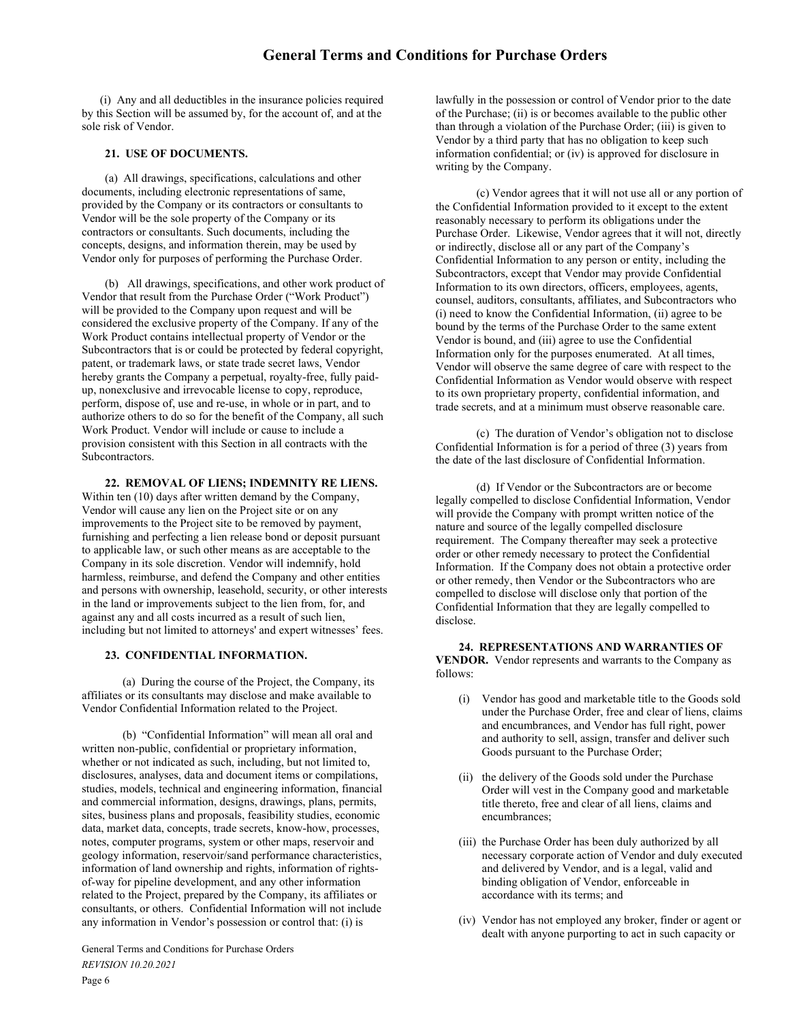(i) Any and all deductibles in the insurance policies required by this Section will be assumed by, for the account of, and at the sole risk of Vendor.

## 21. USE OF DOCUMENTS.

(a) All drawings, specifications, calculations and other documents, including electronic representations of same, provided by the Company or its contractors or consultants to Vendor will be the sole property of the Company or its contractors or consultants. Such documents, including the concepts, designs, and information therein, may be used by Vendor only for purposes of performing the Purchase Order.

 (b) All drawings, specifications, and other work product of Vendor that result from the Purchase Order ("Work Product") will be provided to the Company upon request and will be considered the exclusive property of the Company. If any of the Work Product contains intellectual property of Vendor or the Subcontractors that is or could be protected by federal copyright, patent, or trademark laws, or state trade secret laws, Vendor hereby grants the Company a perpetual, royalty-free, fully paidup, nonexclusive and irrevocable license to copy, reproduce, perform, dispose of, use and re-use, in whole or in part, and to authorize others to do so for the benefit of the Company, all such Work Product. Vendor will include or cause to include a provision consistent with this Section in all contracts with the Subcontractors.

22. REMOVAL OF LIENS; INDEMNITY RE LIENS. Within ten (10) days after written demand by the Company, Vendor will cause any lien on the Project site or on any improvements to the Project site to be removed by payment, furnishing and perfecting a lien release bond or deposit pursuant to applicable law, or such other means as are acceptable to the Company in its sole discretion. Vendor will indemnify, hold harmless, reimburse, and defend the Company and other entities and persons with ownership, leasehold, security, or other interests in the land or improvements subject to the lien from, for, and against any and all costs incurred as a result of such lien, including but not limited to attorneys' and expert witnesses' fees.

# 23. CONFIDENTIAL INFORMATION.

(a) During the course of the Project, the Company, its affiliates or its consultants may disclose and make available to Vendor Confidential Information related to the Project.

(b) "Confidential Information" will mean all oral and written non-public, confidential or proprietary information, whether or not indicated as such, including, but not limited to, disclosures, analyses, data and document items or compilations, studies, models, technical and engineering information, financial and commercial information, designs, drawings, plans, permits, sites, business plans and proposals, feasibility studies, economic data, market data, concepts, trade secrets, know-how, processes, notes, computer programs, system or other maps, reservoir and geology information, reservoir/sand performance characteristics, information of land ownership and rights, information of rightsof-way for pipeline development, and any other information related to the Project, prepared by the Company, its affiliates or consultants, or others. Confidential Information will not include any information in Vendor's possession or control that: (i) is

General Terms and Conditions for Purchase Orders REVISION 10.20.2021 Page 6

lawfully in the possession or control of Vendor prior to the date of the Purchase; (ii) is or becomes available to the public other than through a violation of the Purchase Order; (iii) is given to Vendor by a third party that has no obligation to keep such information confidential; or (iv) is approved for disclosure in writing by the Company.

(c) Vendor agrees that it will not use all or any portion of the Confidential Information provided to it except to the extent reasonably necessary to perform its obligations under the Purchase Order. Likewise, Vendor agrees that it will not, directly or indirectly, disclose all or any part of the Company's Confidential Information to any person or entity, including the Subcontractors, except that Vendor may provide Confidential Information to its own directors, officers, employees, agents, counsel, auditors, consultants, affiliates, and Subcontractors who (i) need to know the Confidential Information, (ii) agree to be bound by the terms of the Purchase Order to the same extent Vendor is bound, and (iii) agree to use the Confidential Information only for the purposes enumerated. At all times, Vendor will observe the same degree of care with respect to the Confidential Information as Vendor would observe with respect to its own proprietary property, confidential information, and trade secrets, and at a minimum must observe reasonable care.

(c) The duration of Vendor's obligation not to disclose Confidential Information is for a period of three (3) years from the date of the last disclosure of Confidential Information.

(d) If Vendor or the Subcontractors are or become legally compelled to disclose Confidential Information, Vendor will provide the Company with prompt written notice of the nature and source of the legally compelled disclosure requirement. The Company thereafter may seek a protective order or other remedy necessary to protect the Confidential Information. If the Company does not obtain a protective order or other remedy, then Vendor or the Subcontractors who are compelled to disclose will disclose only that portion of the Confidential Information that they are legally compelled to disclose.

24. REPRESENTATIONS AND WARRANTIES OF VENDOR. Vendor represents and warrants to the Company as follows:

- (i) Vendor has good and marketable title to the Goods sold under the Purchase Order, free and clear of liens, claims and encumbrances, and Vendor has full right, power and authority to sell, assign, transfer and deliver such Goods pursuant to the Purchase Order;
- (ii) the delivery of the Goods sold under the Purchase Order will vest in the Company good and marketable title thereto, free and clear of all liens, claims and encumbrances;
- (iii) the Purchase Order has been duly authorized by all necessary corporate action of Vendor and duly executed and delivered by Vendor, and is a legal, valid and binding obligation of Vendor, enforceable in accordance with its terms; and
- (iv) Vendor has not employed any broker, finder or agent or dealt with anyone purporting to act in such capacity or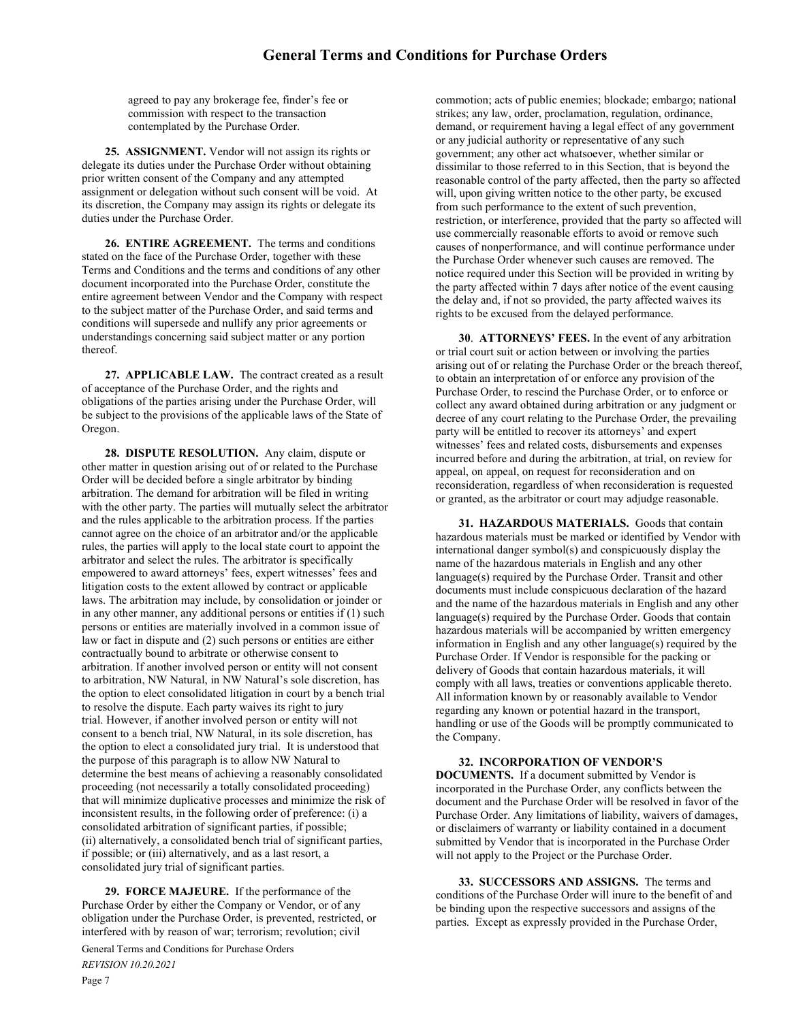agreed to pay any brokerage fee, finder's fee or commission with respect to the transaction contemplated by the Purchase Order.

25. ASSIGNMENT. Vendor will not assign its rights or delegate its duties under the Purchase Order without obtaining prior written consent of the Company and any attempted assignment or delegation without such consent will be void. At its discretion, the Company may assign its rights or delegate its duties under the Purchase Order.

26. ENTIRE AGREEMENT. The terms and conditions stated on the face of the Purchase Order, together with these Terms and Conditions and the terms and conditions of any other document incorporated into the Purchase Order, constitute the entire agreement between Vendor and the Company with respect to the subject matter of the Purchase Order, and said terms and conditions will supersede and nullify any prior agreements or understandings concerning said subject matter or any portion thereof.

27. APPLICABLE LAW. The contract created as a result of acceptance of the Purchase Order, and the rights and obligations of the parties arising under the Purchase Order, will be subject to the provisions of the applicable laws of the State of Oregon.

28. DISPUTE RESOLUTION. Any claim, dispute or other matter in question arising out of or related to the Purchase Order will be decided before a single arbitrator by binding arbitration. The demand for arbitration will be filed in writing with the other party. The parties will mutually select the arbitrator and the rules applicable to the arbitration process. If the parties cannot agree on the choice of an arbitrator and/or the applicable rules, the parties will apply to the local state court to appoint the arbitrator and select the rules. The arbitrator is specifically empowered to award attorneys' fees, expert witnesses' fees and litigation costs to the extent allowed by contract or applicable laws. The arbitration may include, by consolidation or joinder or in any other manner, any additional persons or entities if (1) such persons or entities are materially involved in a common issue of law or fact in dispute and (2) such persons or entities are either contractually bound to arbitrate or otherwise consent to arbitration. If another involved person or entity will not consent to arbitration, NW Natural, in NW Natural's sole discretion, has the option to elect consolidated litigation in court by a bench trial to resolve the dispute. Each party waives its right to jury trial. However, if another involved person or entity will not consent to a bench trial, NW Natural, in its sole discretion, has the option to elect a consolidated jury trial. It is understood that the purpose of this paragraph is to allow NW Natural to determine the best means of achieving a reasonably consolidated proceeding (not necessarily a totally consolidated proceeding) that will minimize duplicative processes and minimize the risk of inconsistent results, in the following order of preference: (i) a consolidated arbitration of significant parties, if possible; (ii) alternatively, a consolidated bench trial of significant parties, if possible; or (iii) alternatively, and as a last resort, a consolidated jury trial of significant parties.

29. FORCE MAJEURE. If the performance of the Purchase Order by either the Company or Vendor, or of any obligation under the Purchase Order, is prevented, restricted, or interfered with by reason of war; terrorism; revolution; civil

General Terms and Conditions for Purchase Orders REVISION 10.20.2021 Page 7

commotion; acts of public enemies; blockade; embargo; national strikes; any law, order, proclamation, regulation, ordinance, demand, or requirement having a legal effect of any government or any judicial authority or representative of any such government; any other act whatsoever, whether similar or dissimilar to those referred to in this Section, that is beyond the reasonable control of the party affected, then the party so affected will, upon giving written notice to the other party, be excused from such performance to the extent of such prevention, restriction, or interference, provided that the party so affected will use commercially reasonable efforts to avoid or remove such causes of nonperformance, and will continue performance under the Purchase Order whenever such causes are removed. The notice required under this Section will be provided in writing by the party affected within 7 days after notice of the event causing the delay and, if not so provided, the party affected waives its rights to be excused from the delayed performance.

30. ATTORNEYS' FEES. In the event of any arbitration or trial court suit or action between or involving the parties arising out of or relating the Purchase Order or the breach thereof, to obtain an interpretation of or enforce any provision of the Purchase Order, to rescind the Purchase Order, or to enforce or collect any award obtained during arbitration or any judgment or decree of any court relating to the Purchase Order, the prevailing party will be entitled to recover its attorneys' and expert witnesses' fees and related costs, disbursements and expenses incurred before and during the arbitration, at trial, on review for appeal, on appeal, on request for reconsideration and on reconsideration, regardless of when reconsideration is requested or granted, as the arbitrator or court may adjudge reasonable.

31. HAZARDOUS MATERIALS. Goods that contain hazardous materials must be marked or identified by Vendor with international danger symbol(s) and conspicuously display the name of the hazardous materials in English and any other language(s) required by the Purchase Order. Transit and other documents must include conspicuous declaration of the hazard and the name of the hazardous materials in English and any other language(s) required by the Purchase Order. Goods that contain hazardous materials will be accompanied by written emergency information in English and any other language(s) required by the Purchase Order. If Vendor is responsible for the packing or delivery of Goods that contain hazardous materials, it will comply with all laws, treaties or conventions applicable thereto. All information known by or reasonably available to Vendor regarding any known or potential hazard in the transport, handling or use of the Goods will be promptly communicated to the Company.

# 32. INCORPORATION OF VENDOR'S

DOCUMENTS. If a document submitted by Vendor is incorporated in the Purchase Order, any conflicts between the document and the Purchase Order will be resolved in favor of the Purchase Order. Any limitations of liability, waivers of damages, or disclaimers of warranty or liability contained in a document submitted by Vendor that is incorporated in the Purchase Order will not apply to the Project or the Purchase Order.

 33. SUCCESSORS AND ASSIGNS. The terms and conditions of the Purchase Order will inure to the benefit of and be binding upon the respective successors and assigns of the parties. Except as expressly provided in the Purchase Order,